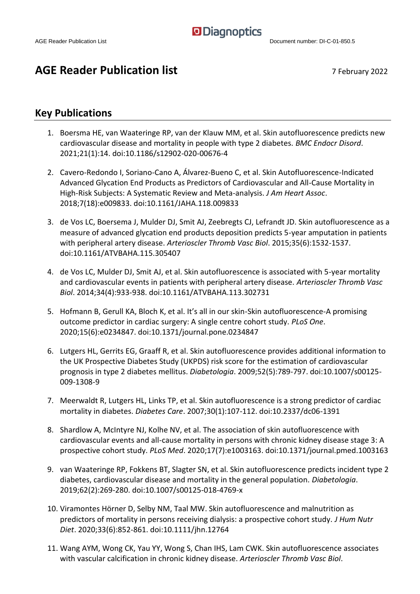#### **AGE Reader Publication list** 7 February 2022

#### **Key Publications**

- 1. Boersma HE, van Waateringe RP, van der Klauw MM, et al. Skin autofluorescence predicts new cardiovascular disease and mortality in people with type 2 diabetes. *BMC Endocr Disord*. 2021;21(1):14. doi:10.1186/s12902-020-00676-4
- 2. Cavero-Redondo I, Soriano-Cano A, Álvarez-Bueno C, et al. Skin Autofluorescence-Indicated Advanced Glycation End Products as Predictors of Cardiovascular and All-Cause Mortality in High-Risk Subjects: A Systematic Review and Meta-analysis. *J Am Heart Assoc*. 2018;7(18):e009833. doi:10.1161/JAHA.118.009833
- 3. de Vos LC, Boersema J, Mulder DJ, Smit AJ, Zeebregts CJ, Lefrandt JD. Skin autofluorescence as a measure of advanced glycation end products deposition predicts 5-year amputation in patients with peripheral artery disease. *Arterioscler Thromb Vasc Biol*. 2015;35(6):1532-1537. doi:10.1161/ATVBAHA.115.305407
- 4. de Vos LC, Mulder DJ, Smit AJ, et al. Skin autofluorescence is associated with 5-year mortality and cardiovascular events in patients with peripheral artery disease. *Arterioscler Thromb Vasc Biol*. 2014;34(4):933-938. doi:10.1161/ATVBAHA.113.302731
- 5. Hofmann B, Gerull KA, Bloch K, et al. It's all in our skin-Skin autofluorescence-A promising outcome predictor in cardiac surgery: A single centre cohort study. *PLoS One*. 2020;15(6):e0234847. doi:10.1371/journal.pone.0234847
- 6. Lutgers HL, Gerrits EG, Graaff R, et al. Skin autofluorescence provides additional information to the UK Prospective Diabetes Study (UKPDS) risk score for the estimation of cardiovascular prognosis in type 2 diabetes mellitus. *Diabetologia*. 2009;52(5):789-797. doi:10.1007/s00125- 009-1308-9
- 7. Meerwaldt R, Lutgers HL, Links TP, et al. Skin autofluorescence is a strong predictor of cardiac mortality in diabetes. *Diabetes Care*. 2007;30(1):107-112. doi:10.2337/dc06-1391
- 8. Shardlow A, McIntyre NJ, Kolhe NV, et al. The association of skin autofluorescence with cardiovascular events and all-cause mortality in persons with chronic kidney disease stage 3: A prospective cohort study. *PLoS Med*. 2020;17(7):e1003163. doi:10.1371/journal.pmed.1003163
- 9. van Waateringe RP, Fokkens BT, Slagter SN, et al. Skin autofluorescence predicts incident type 2 diabetes, cardiovascular disease and mortality in the general population. *Diabetologia*. 2019;62(2):269-280. doi:10.1007/s00125-018-4769-x
- 10. Viramontes Hörner D, Selby NM, Taal MW. Skin autofluorescence and malnutrition as predictors of mortality in persons receiving dialysis: a prospective cohort study. *J Hum Nutr Diet*. 2020;33(6):852-861. doi:10.1111/jhn.12764
- 11. Wang AYM, Wong CK, Yau YY, Wong S, Chan IHS, Lam CWK. Skin autofluorescence associates with vascular calcification in chronic kidney disease. *Arterioscler Thromb Vasc Biol*.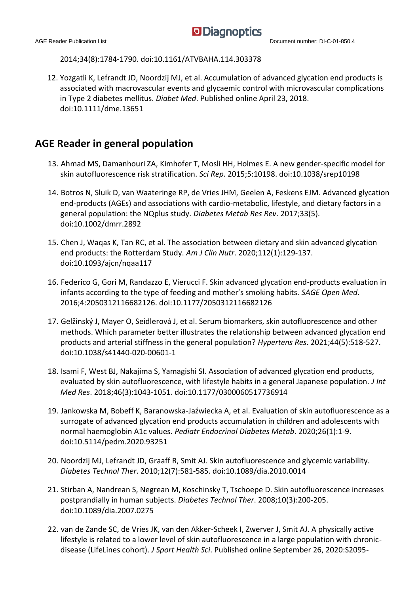2014;34(8):1784-1790. doi:10.1161/ATVBAHA.114.303378

12. Yozgatli K, Lefrandt JD, Noordzij MJ, et al. Accumulation of advanced glycation end products is associated with macrovascular events and glycaemic control with microvascular complications in Type 2 diabetes mellitus. *Diabet Med*. Published online April 23, 2018. doi:10.1111/dme.13651

#### **AGE Reader in general population**

- 13. Ahmad MS, Damanhouri ZA, Kimhofer T, Mosli HH, Holmes E. A new gender-specific model for skin autofluorescence risk stratification. *Sci Rep*. 2015;5:10198. doi:10.1038/srep10198
- 14. Botros N, Sluik D, van Waateringe RP, de Vries JHM, Geelen A, Feskens EJM. Advanced glycation end-products (AGEs) and associations with cardio-metabolic, lifestyle, and dietary factors in a general population: the NQplus study. *Diabetes Metab Res Rev*. 2017;33(5). doi:10.1002/dmrr.2892
- 15. Chen J, Waqas K, Tan RC, et al. The association between dietary and skin advanced glycation end products: the Rotterdam Study. *Am J Clin Nutr*. 2020;112(1):129-137. doi:10.1093/ajcn/nqaa117
- 16. Federico G, Gori M, Randazzo E, Vierucci F. Skin advanced glycation end-products evaluation in infants according to the type of feeding and mother's smoking habits. *SAGE Open Med*. 2016;4:2050312116682126. doi:10.1177/2050312116682126
- 17. Gelžinský J, Mayer O, Seidlerová J, et al. Serum biomarkers, skin autofluorescence and other methods. Which parameter better illustrates the relationship between advanced glycation end products and arterial stiffness in the general population? *Hypertens Res*. 2021;44(5):518-527. doi:10.1038/s41440-020-00601-1
- 18. Isami F, West BJ, Nakajima S, Yamagishi SI. Association of advanced glycation end products, evaluated by skin autofluorescence, with lifestyle habits in a general Japanese population. *J Int Med Res*. 2018;46(3):1043-1051. doi:10.1177/0300060517736914
- 19. Jankowska M, Bobeff K, Baranowska-Jaźwiecka A, et al. Evaluation of skin autofluorescence as a surrogate of advanced glycation end products accumulation in children and adolescents with normal haemoglobin A1c values. *Pediatr Endocrinol Diabetes Metab*. 2020;26(1):1-9. doi:10.5114/pedm.2020.93251
- 20. Noordzij MJ, Lefrandt JD, Graaff R, Smit AJ. Skin autofluorescence and glycemic variability. *Diabetes Technol Ther*. 2010;12(7):581-585. doi:10.1089/dia.2010.0014
- 21. Stirban A, Nandrean S, Negrean M, Koschinsky T, Tschoepe D. Skin autofluorescence increases postprandially in human subjects. *Diabetes Technol Ther*. 2008;10(3):200-205. doi:10.1089/dia.2007.0275
- 22. van de Zande SC, de Vries JK, van den Akker-Scheek I, Zwerver J, Smit AJ. A physically active lifestyle is related to a lower level of skin autofluorescence in a large population with chronicdisease (LifeLines cohort). *J Sport Health Sci*. Published online September 26, 2020:S2095-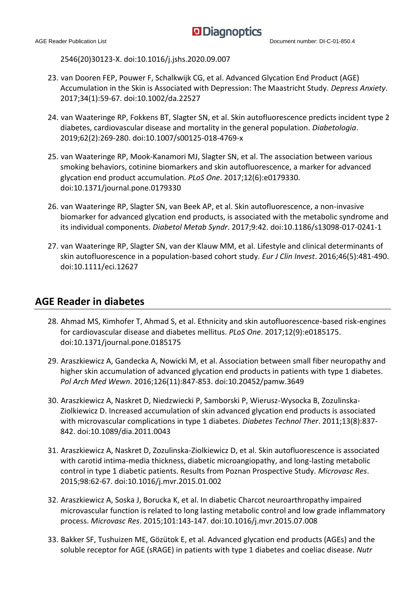2546(20)30123-X. doi:10.1016/j.jshs.2020.09.007

- 23. van Dooren FEP, Pouwer F, Schalkwijk CG, et al. Advanced Glycation End Product (AGE) Accumulation in the Skin is Associated with Depression: The Maastricht Study. *Depress Anxiety*. 2017;34(1):59-67. doi:10.1002/da.22527
- 24. van Waateringe RP, Fokkens BT, Slagter SN, et al. Skin autofluorescence predicts incident type 2 diabetes, cardiovascular disease and mortality in the general population. *Diabetologia*. 2019;62(2):269-280. doi:10.1007/s00125-018-4769-x
- 25. van Waateringe RP, Mook-Kanamori MJ, Slagter SN, et al. The association between various smoking behaviors, cotinine biomarkers and skin autofluorescence, a marker for advanced glycation end product accumulation. *PLoS One*. 2017;12(6):e0179330. doi:10.1371/journal.pone.0179330
- 26. van Waateringe RP, Slagter SN, van Beek AP, et al. Skin autofluorescence, a non-invasive biomarker for advanced glycation end products, is associated with the metabolic syndrome and its individual components. *Diabetol Metab Syndr*. 2017;9:42. doi:10.1186/s13098-017-0241-1
- 27. van Waateringe RP, Slagter SN, van der Klauw MM, et al. Lifestyle and clinical determinants of skin autofluorescence in a population-based cohort study. *Eur J Clin Invest*. 2016;46(5):481-490. doi:10.1111/eci.12627

#### **AGE Reader in diabetes**

- 28. Ahmad MS, Kimhofer T, Ahmad S, et al. Ethnicity and skin autofluorescence-based risk-engines for cardiovascular disease and diabetes mellitus. *PLoS One*. 2017;12(9):e0185175. doi:10.1371/journal.pone.0185175
- 29. Araszkiewicz A, Gandecka A, Nowicki M, et al. Association between small fiber neuropathy and higher skin accumulation of advanced glycation end products in patients with type 1 diabetes. *Pol Arch Med Wewn*. 2016;126(11):847-853. doi:10.20452/pamw.3649
- 30. Araszkiewicz A, Naskret D, Niedzwiecki P, Samborski P, Wierusz-Wysocka B, Zozulinska-Ziolkiewicz D. Increased accumulation of skin advanced glycation end products is associated with microvascular complications in type 1 diabetes. *Diabetes Technol Ther*. 2011;13(8):837- 842. doi:10.1089/dia.2011.0043
- 31. Araszkiewicz A, Naskret D, Zozulinska-Ziolkiewicz D, et al. Skin autofluorescence is associated with carotid intima-media thickness, diabetic microangiopathy, and long-lasting metabolic control in type 1 diabetic patients. Results from Poznan Prospective Study. *Microvasc Res*. 2015;98:62-67. doi:10.1016/j.mvr.2015.01.002
- 32. Araszkiewicz A, Soska J, Borucka K, et al. In diabetic Charcot neuroarthropathy impaired microvascular function is related to long lasting metabolic control and low grade inflammatory process. *Microvasc Res*. 2015;101:143-147. doi:10.1016/j.mvr.2015.07.008
- 33. Bakker SF, Tushuizen ME, Gözütok E, et al. Advanced glycation end products (AGEs) and the soluble receptor for AGE (sRAGE) in patients with type 1 diabetes and coeliac disease. *Nutr*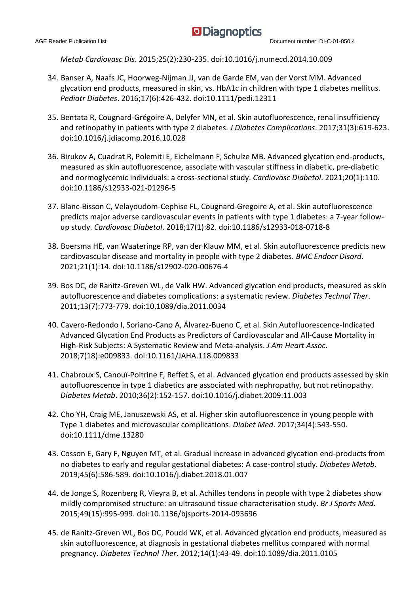*Metab Cardiovasc Dis*. 2015;25(2):230-235. doi:10.1016/j.numecd.2014.10.009

- 34. Banser A, Naafs JC, Hoorweg-Nijman JJ, van de Garde EM, van der Vorst MM. Advanced glycation end products, measured in skin, vs. HbA1c in children with type 1 diabetes mellitus. *Pediatr Diabetes*. 2016;17(6):426-432. doi:10.1111/pedi.12311
- 35. Bentata R, Cougnard-Grégoire A, Delyfer MN, et al. Skin autofluorescence, renal insufficiency and retinopathy in patients with type 2 diabetes. *J Diabetes Complications*. 2017;31(3):619-623. doi:10.1016/j.jdiacomp.2016.10.028
- 36. Birukov A, Cuadrat R, Polemiti E, Eichelmann F, Schulze MB. Advanced glycation end-products, measured as skin autofluorescence, associate with vascular stiffness in diabetic, pre-diabetic and normoglycemic individuals: a cross-sectional study. *Cardiovasc Diabetol*. 2021;20(1):110. doi:10.1186/s12933-021-01296-5
- 37. Blanc-Bisson C, Velayoudom-Cephise FL, Cougnard-Gregoire A, et al. Skin autofluorescence predicts major adverse cardiovascular events in patients with type 1 diabetes: a 7-year followup study. *Cardiovasc Diabetol*. 2018;17(1):82. doi:10.1186/s12933-018-0718-8
- 38. Boersma HE, van Waateringe RP, van der Klauw MM, et al. Skin autofluorescence predicts new cardiovascular disease and mortality in people with type 2 diabetes. *BMC Endocr Disord*. 2021;21(1):14. doi:10.1186/s12902-020-00676-4
- 39. Bos DC, de Ranitz-Greven WL, de Valk HW. Advanced glycation end products, measured as skin autofluorescence and diabetes complications: a systematic review. *Diabetes Technol Ther*. 2011;13(7):773-779. doi:10.1089/dia.2011.0034
- 40. Cavero-Redondo I, Soriano-Cano A, Álvarez-Bueno C, et al. Skin Autofluorescence-Indicated Advanced Glycation End Products as Predictors of Cardiovascular and All-Cause Mortality in High-Risk Subjects: A Systematic Review and Meta-analysis. *J Am Heart Assoc*. 2018;7(18):e009833. doi:10.1161/JAHA.118.009833
- 41. Chabroux S, Canouï-Poitrine F, Reffet S, et al. Advanced glycation end products assessed by skin autofluorescence in type 1 diabetics are associated with nephropathy, but not retinopathy. *Diabetes Metab*. 2010;36(2):152-157. doi:10.1016/j.diabet.2009.11.003
- 42. Cho YH, Craig ME, Januszewski AS, et al. Higher skin autofluorescence in young people with Type 1 diabetes and microvascular complications. *Diabet Med*. 2017;34(4):543-550. doi:10.1111/dme.13280
- 43. Cosson E, Gary F, Nguyen MT, et al. Gradual increase in advanced glycation end-products from no diabetes to early and regular gestational diabetes: A case-control study. *Diabetes Metab*. 2019;45(6):586-589. doi:10.1016/j.diabet.2018.01.007
- 44. de Jonge S, Rozenberg R, Vieyra B, et al. Achilles tendons in people with type 2 diabetes show mildly compromised structure: an ultrasound tissue characterisation study. *Br J Sports Med*. 2015;49(15):995-999. doi:10.1136/bjsports-2014-093696
- 45. de Ranitz-Greven WL, Bos DC, Poucki WK, et al. Advanced glycation end products, measured as skin autofluorescence, at diagnosis in gestational diabetes mellitus compared with normal pregnancy. *Diabetes Technol Ther*. 2012;14(1):43-49. doi:10.1089/dia.2011.0105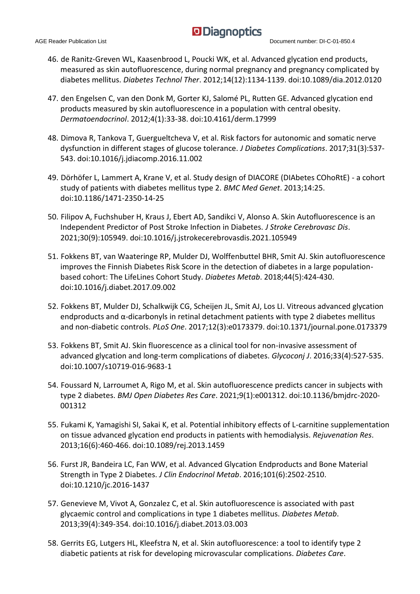- 46. de Ranitz-Greven WL, Kaasenbrood L, Poucki WK, et al. Advanced glycation end products, measured as skin autofluorescence, during normal pregnancy and pregnancy complicated by diabetes mellitus. *Diabetes Technol Ther*. 2012;14(12):1134-1139. doi:10.1089/dia.2012.0120
- 47. den Engelsen C, van den Donk M, Gorter KJ, Salomé PL, Rutten GE. Advanced glycation end products measured by skin autofluorescence in a population with central obesity. *Dermatoendocrinol*. 2012;4(1):33-38. doi:10.4161/derm.17999
- 48. Dimova R, Tankova T, Guergueltcheva V, et al. Risk factors for autonomic and somatic nerve dysfunction in different stages of glucose tolerance. *J Diabetes Complications*. 2017;31(3):537- 543. doi:10.1016/j.jdiacomp.2016.11.002
- 49. Dörhöfer L, Lammert A, Krane V, et al. Study design of DIACORE (DIAbetes COhoRtE) a cohort study of patients with diabetes mellitus type 2. *BMC Med Genet*. 2013;14:25. doi:10.1186/1471-2350-14-25
- 50. Filipov A, Fuchshuber H, Kraus J, Ebert AD, Sandikci V, Alonso A. Skin Autofluorescence is an Independent Predictor of Post Stroke Infection in Diabetes. *J Stroke Cerebrovasc Dis*. 2021;30(9):105949. doi:10.1016/j.jstrokecerebrovasdis.2021.105949
- 51. Fokkens BT, van Waateringe RP, Mulder DJ, Wolffenbuttel BHR, Smit AJ. Skin autofluorescence improves the Finnish Diabetes Risk Score in the detection of diabetes in a large populationbased cohort: The LifeLines Cohort Study. *Diabetes Metab*. 2018;44(5):424-430. doi:10.1016/j.diabet.2017.09.002
- 52. Fokkens BT, Mulder DJ, Schalkwijk CG, Scheijen JL, Smit AJ, Los LI. Vitreous advanced glycation endproducts and  $\alpha$ -dicarbonyls in retinal detachment patients with type 2 diabetes mellitus and non-diabetic controls. *PLoS One*. 2017;12(3):e0173379. doi:10.1371/journal.pone.0173379
- 53. Fokkens BT, Smit AJ. Skin fluorescence as a clinical tool for non-invasive assessment of advanced glycation and long-term complications of diabetes. *Glycoconj J*. 2016;33(4):527-535. doi:10.1007/s10719-016-9683-1
- 54. Foussard N, Larroumet A, Rigo M, et al. Skin autofluorescence predicts cancer in subjects with type 2 diabetes. *BMJ Open Diabetes Res Care*. 2021;9(1):e001312. doi:10.1136/bmjdrc-2020- 001312
- 55. Fukami K, Yamagishi SI, Sakai K, et al. Potential inhibitory effects of L-carnitine supplementation on tissue advanced glycation end products in patients with hemodialysis. *Rejuvenation Res*. 2013;16(6):460-466. doi:10.1089/rej.2013.1459
- 56. Furst JR, Bandeira LC, Fan WW, et al. Advanced Glycation Endproducts and Bone Material Strength in Type 2 Diabetes. *J Clin Endocrinol Metab*. 2016;101(6):2502-2510. doi:10.1210/jc.2016-1437
- 57. Genevieve M, Vivot A, Gonzalez C, et al. Skin autofluorescence is associated with past glycaemic control and complications in type 1 diabetes mellitus. *Diabetes Metab*. 2013;39(4):349-354. doi:10.1016/j.diabet.2013.03.003
- 58. Gerrits EG, Lutgers HL, Kleefstra N, et al. Skin autofluorescence: a tool to identify type 2 diabetic patients at risk for developing microvascular complications. *Diabetes Care*.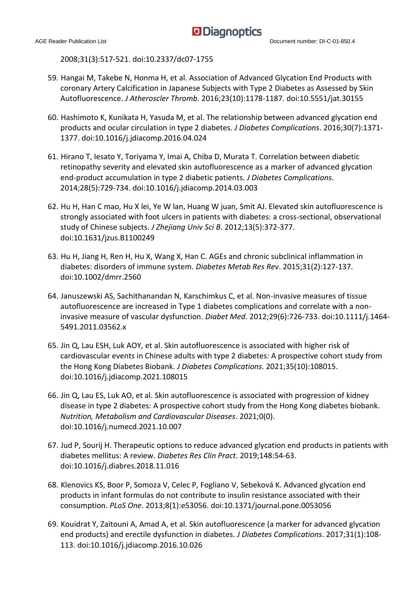2008;31(3):517-521. doi:10.2337/dc07-1755

- 59. Hangai M, Takebe N, Honma H, et al. Association of Advanced Glycation End Products with coronary Artery Calcification in Japanese Subjects with Type 2 Diabetes as Assessed by Skin Autofluorescence. *J Atheroscler Thromb*. 2016;23(10):1178-1187. doi:10.5551/jat.30155
- 60. Hashimoto K, Kunikata H, Yasuda M, et al. The relationship between advanced glycation end products and ocular circulation in type 2 diabetes. *J Diabetes Complications*. 2016;30(7):1371- 1377. doi:10.1016/j.jdiacomp.2016.04.024
- 61. Hirano T, Iesato Y, Toriyama Y, Imai A, Chiba D, Murata T. Correlation between diabetic retinopathy severity and elevated skin autofluorescence as a marker of advanced glycation end-product accumulation in type 2 diabetic patients. *J Diabetes Complications*. 2014;28(5):729-734. doi:10.1016/j.jdiacomp.2014.03.003
- 62. Hu H, Han C mao, Hu X lei, Ye W lan, Huang W juan, Smit AJ. Elevated skin autofluorescence is strongly associated with foot ulcers in patients with diabetes: a cross-sectional, observational study of Chinese subjects. *J Zhejiang Univ Sci B*. 2012;13(5):372-377. doi:10.1631/jzus.B1100249
- 63. Hu H, Jiang H, Ren H, Hu X, Wang X, Han C. AGEs and chronic subclinical inflammation in diabetes: disorders of immune system. *Diabetes Metab Res Rev*. 2015;31(2):127-137. doi:10.1002/dmrr.2560
- 64. Januszewski AS, Sachithanandan N, Karschimkus C, et al. Non-invasive measures of tissue autofluorescence are increased in Type 1 diabetes complications and correlate with a noninvasive measure of vascular dysfunction. *Diabet Med*. 2012;29(6):726-733. doi:10.1111/j.1464- 5491.2011.03562.x
- 65. Jin Q, Lau ESH, Luk AOY, et al. Skin autofluorescence is associated with higher risk of cardiovascular events in Chinese adults with type 2 diabetes: A prospective cohort study from the Hong Kong Diabetes Biobank. *J Diabetes Complications*. 2021;35(10):108015. doi:10.1016/j.jdiacomp.2021.108015
- 66. Jin Q, Lau ES, Luk AO, et al. Skin autofluorescence is associated with progression of kidney disease in type 2 diabetes: A prospective cohort study from the Hong Kong diabetes biobank. *Nutrition, Metabolism and Cardiovascular Diseases*. 2021;0(0). doi:10.1016/j.numecd.2021.10.007
- 67. Jud P, Sourij H. Therapeutic options to reduce advanced glycation end products in patients with diabetes mellitus: A review. *Diabetes Res Clin Pract*. 2019;148:54-63. doi:10.1016/j.diabres.2018.11.016
- 68. Klenovics KS, Boor P, Somoza V, Celec P, Fogliano V, Sebeková K. Advanced glycation end products in infant formulas do not contribute to insulin resistance associated with their consumption. *PLoS One*. 2013;8(1):e53056. doi:10.1371/journal.pone.0053056
- 69. Kouidrat Y, Zaitouni A, Amad A, et al. Skin autofluorescence (a marker for advanced glycation end products) and erectile dysfunction in diabetes. *J Diabetes Complications*. 2017;31(1):108- 113. doi:10.1016/j.jdiacomp.2016.10.026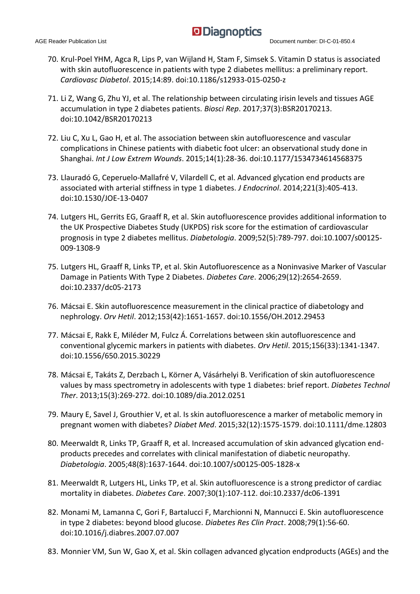- 70. Krul-Poel YHM, Agca R, Lips P, van Wijland H, Stam F, Simsek S. Vitamin D status is associated with skin autofluorescence in patients with type 2 diabetes mellitus: a preliminary report. *Cardiovasc Diabetol*. 2015;14:89. doi:10.1186/s12933-015-0250-z
- 71. Li Z, Wang G, Zhu YJ, et al. The relationship between circulating irisin levels and tissues AGE accumulation in type 2 diabetes patients. *Biosci Rep*. 2017;37(3):BSR20170213. doi:10.1042/BSR20170213
- 72. Liu C, Xu L, Gao H, et al. The association between skin autofluorescence and vascular complications in Chinese patients with diabetic foot ulcer: an observational study done in Shanghai. *Int J Low Extrem Wounds*. 2015;14(1):28-36. doi:10.1177/1534734614568375
- 73. Llauradó G, Ceperuelo-Mallafré V, Vilardell C, et al. Advanced glycation end products are associated with arterial stiffness in type 1 diabetes. *J Endocrinol*. 2014;221(3):405-413. doi:10.1530/JOE-13-0407
- 74. Lutgers HL, Gerrits EG, Graaff R, et al. Skin autofluorescence provides additional information to the UK Prospective Diabetes Study (UKPDS) risk score for the estimation of cardiovascular prognosis in type 2 diabetes mellitus. *Diabetologia*. 2009;52(5):789-797. doi:10.1007/s00125- 009-1308-9
- 75. Lutgers HL, Graaff R, Links TP, et al. Skin Autofluorescence as a Noninvasive Marker of Vascular Damage in Patients With Type 2 Diabetes. *Diabetes Care*. 2006;29(12):2654-2659. doi:10.2337/dc05-2173
- 76. Mácsai E. Skin autofluorescence measurement in the clinical practice of diabetology and nephrology. *Orv Hetil*. 2012;153(42):1651-1657. doi:10.1556/OH.2012.29453
- 77. Mácsai E, Rakk E, Miléder M, Fulcz Á. Correlations between skin autofluorescence and conventional glycemic markers in patients with diabetes. *Orv Hetil*. 2015;156(33):1341-1347. doi:10.1556/650.2015.30229
- 78. Mácsai E, Takáts Z, Derzbach L, Körner A, Vásárhelyi B. Verification of skin autofluorescence values by mass spectrometry in adolescents with type 1 diabetes: brief report. *Diabetes Technol Ther*. 2013;15(3):269-272. doi:10.1089/dia.2012.0251
- 79. Maury E, Savel J, Grouthier V, et al. Is skin autofluorescence a marker of metabolic memory in pregnant women with diabetes? *Diabet Med*. 2015;32(12):1575-1579. doi:10.1111/dme.12803
- 80. Meerwaldt R, Links TP, Graaff R, et al. Increased accumulation of skin advanced glycation endproducts precedes and correlates with clinical manifestation of diabetic neuropathy. *Diabetologia*. 2005;48(8):1637-1644. doi:10.1007/s00125-005-1828-x
- 81. Meerwaldt R, Lutgers HL, Links TP, et al. Skin autofluorescence is a strong predictor of cardiac mortality in diabetes. *Diabetes Care*. 2007;30(1):107-112. doi:10.2337/dc06-1391
- 82. Monami M, Lamanna C, Gori F, Bartalucci F, Marchionni N, Mannucci E. Skin autofluorescence in type 2 diabetes: beyond blood glucose. *Diabetes Res Clin Pract*. 2008;79(1):56-60. doi:10.1016/j.diabres.2007.07.007
- 83. Monnier VM, Sun W, Gao X, et al. Skin collagen advanced glycation endproducts (AGEs) and the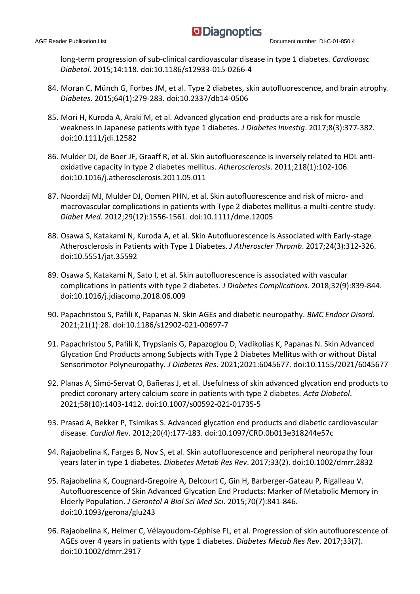long-term progression of sub-clinical cardiovascular disease in type 1 diabetes. *Cardiovasc Diabetol*. 2015;14:118. doi:10.1186/s12933-015-0266-4

- 84. Moran C, Münch G, Forbes JM, et al. Type 2 diabetes, skin autofluorescence, and brain atrophy. *Diabetes*. 2015;64(1):279-283. doi:10.2337/db14-0506
- 85. Mori H, Kuroda A, Araki M, et al. Advanced glycation end-products are a risk for muscle weakness in Japanese patients with type 1 diabetes. *J Diabetes Investig*. 2017;8(3):377-382. doi:10.1111/jdi.12582
- 86. Mulder DJ, de Boer JF, Graaff R, et al. Skin autofluorescence is inversely related to HDL antioxidative capacity in type 2 diabetes mellitus. *Atherosclerosis*. 2011;218(1):102-106. doi:10.1016/j.atherosclerosis.2011.05.011
- 87. Noordzij MJ, Mulder DJ, Oomen PHN, et al. Skin autofluorescence and risk of micro- and macrovascular complications in patients with Type 2 diabetes mellitus-a multi-centre study. *Diabet Med*. 2012;29(12):1556-1561. doi:10.1111/dme.12005
- 88. Osawa S, Katakami N, Kuroda A, et al. Skin Autofluorescence is Associated with Early-stage Atherosclerosis in Patients with Type 1 Diabetes. *J Atheroscler Thromb*. 2017;24(3):312-326. doi:10.5551/jat.35592
- 89. Osawa S, Katakami N, Sato I, et al. Skin autofluorescence is associated with vascular complications in patients with type 2 diabetes. *J Diabetes Complications*. 2018;32(9):839-844. doi:10.1016/j.jdiacomp.2018.06.009
- 90. Papachristou S, Pafili K, Papanas N. Skin AGEs and diabetic neuropathy. *BMC Endocr Disord*. 2021;21(1):28. doi:10.1186/s12902-021-00697-7
- 91. Papachristou S, Pafili K, Trypsianis G, Papazoglou D, Vadikolias K, Papanas N. Skin Advanced Glycation End Products among Subjects with Type 2 Diabetes Mellitus with or without Distal Sensorimotor Polyneuropathy. *J Diabetes Res*. 2021;2021:6045677. doi:10.1155/2021/6045677
- 92. Planas A, Simó-Servat O, Bañeras J, et al. Usefulness of skin advanced glycation end products to predict coronary artery calcium score in patients with type 2 diabetes. *Acta Diabetol*. 2021;58(10):1403-1412. doi:10.1007/s00592-021-01735-5
- 93. Prasad A, Bekker P, Tsimikas S. Advanced glycation end products and diabetic cardiovascular disease. *Cardiol Rev*. 2012;20(4):177-183. doi:10.1097/CRD.0b013e318244e57c
- 94. Rajaobelina K, Farges B, Nov S, et al. Skin autofluorescence and peripheral neuropathy four years later in type 1 diabetes. *Diabetes Metab Res Rev*. 2017;33(2). doi:10.1002/dmrr.2832
- 95. Rajaobelina K, Cougnard-Gregoire A, Delcourt C, Gin H, Barberger-Gateau P, Rigalleau V. Autofluorescence of Skin Advanced Glycation End Products: Marker of Metabolic Memory in Elderly Population. *J Gerontol A Biol Sci Med Sci*. 2015;70(7):841-846. doi:10.1093/gerona/glu243
- 96. Rajaobelina K, Helmer C, Vélayoudom-Céphise FL, et al. Progression of skin autofluorescence of AGEs over 4 years in patients with type 1 diabetes. *Diabetes Metab Res Rev*. 2017;33(7). doi:10.1002/dmrr.2917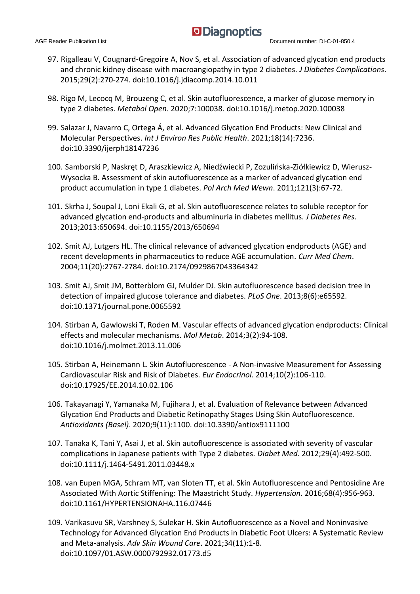- 97. Rigalleau V, Cougnard-Gregoire A, Nov S, et al. Association of advanced glycation end products and chronic kidney disease with macroangiopathy in type 2 diabetes. *J Diabetes Complications*. 2015;29(2):270-274. doi:10.1016/j.jdiacomp.2014.10.011
- 98. Rigo M, Lecocq M, Brouzeng C, et al. Skin autofluorescence, a marker of glucose memory in type 2 diabetes. *Metabol Open*. 2020;7:100038. doi:10.1016/j.metop.2020.100038
- 99. Salazar J, Navarro C, Ortega Á, et al. Advanced Glycation End Products: New Clinical and Molecular Perspectives. *Int J Environ Res Public Health*. 2021;18(14):7236. doi:10.3390/ijerph18147236
- 100. Samborski P, Naskręt D, Araszkiewicz A, Niedźwiecki P, Zozulińska-Ziółkiewicz D, Wierusz-Wysocka B. Assessment of skin autofluorescence as a marker of advanced glycation end product accumulation in type 1 diabetes. *Pol Arch Med Wewn*. 2011;121(3):67-72.
- 101. Skrha J, Soupal J, Loni Ekali G, et al. Skin autofluorescence relates to soluble receptor for advanced glycation end-products and albuminuria in diabetes mellitus. *J Diabetes Res*. 2013;2013:650694. doi:10.1155/2013/650694
- 102. Smit AJ, Lutgers HL. The clinical relevance of advanced glycation endproducts (AGE) and recent developments in pharmaceutics to reduce AGE accumulation. *Curr Med Chem*. 2004;11(20):2767-2784. doi:10.2174/0929867043364342
- 103. Smit AJ, Smit JM, Botterblom GJ, Mulder DJ. Skin autofluorescence based decision tree in detection of impaired glucose tolerance and diabetes. *PLoS One*. 2013;8(6):e65592. doi:10.1371/journal.pone.0065592
- 104. Stirban A, Gawlowski T, Roden M. Vascular effects of advanced glycation endproducts: Clinical effects and molecular mechanisms. *Mol Metab*. 2014;3(2):94-108. doi:10.1016/j.molmet.2013.11.006
- 105. Stirban A, Heinemann L. Skin Autofluorescence A Non-invasive Measurement for Assessing Cardiovascular Risk and Risk of Diabetes. *Eur Endocrinol*. 2014;10(2):106-110. doi:10.17925/EE.2014.10.02.106
- 106. Takayanagi Y, Yamanaka M, Fujihara J, et al. Evaluation of Relevance between Advanced Glycation End Products and Diabetic Retinopathy Stages Using Skin Autofluorescence. *Antioxidants (Basel)*. 2020;9(11):1100. doi:10.3390/antiox9111100
- 107. Tanaka K, Tani Y, Asai J, et al. Skin autofluorescence is associated with severity of vascular complications in Japanese patients with Type 2 diabetes. *Diabet Med*. 2012;29(4):492-500. doi:10.1111/j.1464-5491.2011.03448.x
- 108. van Eupen MGA, Schram MT, van Sloten TT, et al. Skin Autofluorescence and Pentosidine Are Associated With Aortic Stiffening: The Maastricht Study. *Hypertension*. 2016;68(4):956-963. doi:10.1161/HYPERTENSIONAHA.116.07446
- 109. Varikasuvu SR, Varshney S, Sulekar H. Skin Autofluorescence as a Novel and Noninvasive Technology for Advanced Glycation End Products in Diabetic Foot Ulcers: A Systematic Review and Meta-analysis. *Adv Skin Wound Care*. 2021;34(11):1-8. doi:10.1097/01.ASW.0000792932.01773.d5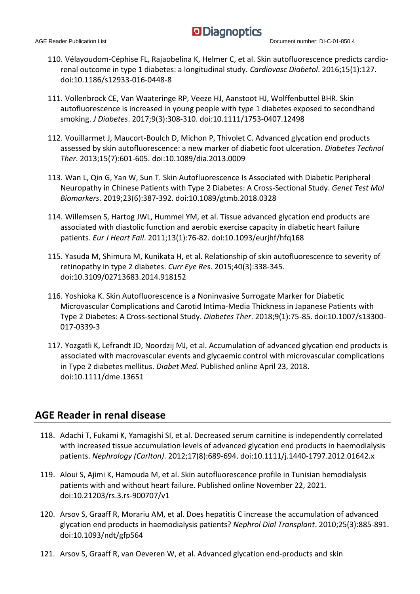- 110. Vélayoudom-Céphise FL, Rajaobelina K, Helmer C, et al. Skin autofluorescence predicts cardiorenal outcome in type 1 diabetes: a longitudinal study. *Cardiovasc Diabetol*. 2016;15(1):127. doi:10.1186/s12933-016-0448-8
- 111. Vollenbrock CE, Van Waateringe RP, Veeze HJ, Aanstoot HJ, Wolffenbuttel BHR. Skin autofluorescence is increased in young people with type 1 diabetes exposed to secondhand smoking. *J Diabetes*. 2017;9(3):308-310. doi:10.1111/1753-0407.12498
- 112. Vouillarmet J, Maucort-Boulch D, Michon P, Thivolet C. Advanced glycation end products assessed by skin autofluorescence: a new marker of diabetic foot ulceration. *Diabetes Technol Ther*. 2013;15(7):601-605. doi:10.1089/dia.2013.0009
- 113. Wan L, Qin G, Yan W, Sun T. Skin Autofluorescence Is Associated with Diabetic Peripheral Neuropathy in Chinese Patients with Type 2 Diabetes: A Cross-Sectional Study. *Genet Test Mol Biomarkers*. 2019;23(6):387-392. doi:10.1089/gtmb.2018.0328
- 114. Willemsen S, Hartog JWL, Hummel YM, et al. Tissue advanced glycation end products are associated with diastolic function and aerobic exercise capacity in diabetic heart failure patients. *Eur J Heart Fail*. 2011;13(1):76-82. doi:10.1093/eurjhf/hfq168
- 115. Yasuda M, Shimura M, Kunikata H, et al. Relationship of skin autofluorescence to severity of retinopathy in type 2 diabetes. *Curr Eye Res*. 2015;40(3):338-345. doi:10.3109/02713683.2014.918152
- 116. Yoshioka K. Skin Autofluorescence is a Noninvasive Surrogate Marker for Diabetic Microvascular Complications and Carotid Intima-Media Thickness in Japanese Patients with Type 2 Diabetes: A Cross-sectional Study. *Diabetes Ther*. 2018;9(1):75-85. doi:10.1007/s13300- 017-0339-3
- 117. Yozgatli K, Lefrandt JD, Noordzij MJ, et al. Accumulation of advanced glycation end products is associated with macrovascular events and glycaemic control with microvascular complications in Type 2 diabetes mellitus. *Diabet Med*. Published online April 23, 2018. doi:10.1111/dme.13651

#### **AGE Reader in renal disease**

- 118. Adachi T, Fukami K, Yamagishi SI, et al. Decreased serum carnitine is independently correlated with increased tissue accumulation levels of advanced glycation end products in haemodialysis patients. *Nephrology (Carlton)*. 2012;17(8):689-694. doi:10.1111/j.1440-1797.2012.01642.x
- 119. Aloui S, Ajimi K, Hamouda M, et al. Skin autofluorescence profile in Tunisian hemodialysis patients with and without heart failure. Published online November 22, 2021. doi:10.21203/rs.3.rs-900707/v1
- 120. Arsov S, Graaff R, Morariu AM, et al. Does hepatitis C increase the accumulation of advanced glycation end products in haemodialysis patients? *Nephrol Dial Transplant*. 2010;25(3):885-891. doi:10.1093/ndt/gfp564
- 121. Arsov S, Graaff R, van Oeveren W, et al. Advanced glycation end-products and skin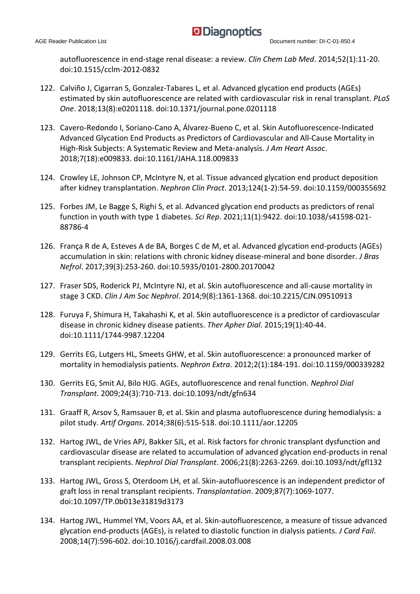autofluorescence in end-stage renal disease: a review. *Clin Chem Lab Med*. 2014;52(1):11-20. doi:10.1515/cclm-2012-0832

- 122. Calviño J, Cigarran S, Gonzalez-Tabares L, et al. Advanced glycation end products (AGEs) estimated by skin autofluorescence are related with cardiovascular risk in renal transplant. *PLoS One*. 2018;13(8):e0201118. doi:10.1371/journal.pone.0201118
- 123. Cavero-Redondo I, Soriano-Cano A, Álvarez-Bueno C, et al. Skin Autofluorescence-Indicated Advanced Glycation End Products as Predictors of Cardiovascular and All-Cause Mortality in High-Risk Subjects: A Systematic Review and Meta-analysis. *J Am Heart Assoc*. 2018;7(18):e009833. doi:10.1161/JAHA.118.009833
- 124. Crowley LE, Johnson CP, McIntyre N, et al. Tissue advanced glycation end product deposition after kidney transplantation. *Nephron Clin Pract*. 2013;124(1-2):54-59. doi:10.1159/000355692
- 125. Forbes JM, Le Bagge S, Righi S, et al. Advanced glycation end products as predictors of renal function in youth with type 1 diabetes. *Sci Rep*. 2021;11(1):9422. doi:10.1038/s41598-021- 88786-4
- 126. França R de A, Esteves A de BA, Borges C de M, et al. Advanced glycation end-products (AGEs) accumulation in skin: relations with chronic kidney disease-mineral and bone disorder. *J Bras Nefrol*. 2017;39(3):253-260. doi:10.5935/0101-2800.20170042
- 127. Fraser SDS, Roderick PJ, McIntyre NJ, et al. Skin autofluorescence and all-cause mortality in stage 3 CKD. *Clin J Am Soc Nephrol*. 2014;9(8):1361-1368. doi:10.2215/CJN.09510913
- 128. Furuya F, Shimura H, Takahashi K, et al. Skin autofluorescence is a predictor of cardiovascular disease in chronic kidney disease patients. *Ther Apher Dial*. 2015;19(1):40-44. doi:10.1111/1744-9987.12204
- 129. Gerrits EG, Lutgers HL, Smeets GHW, et al. Skin autofluorescence: a pronounced marker of mortality in hemodialysis patients. *Nephron Extra*. 2012;2(1):184-191. doi:10.1159/000339282
- 130. Gerrits EG, Smit AJ, Bilo HJG. AGEs, autofluorescence and renal function. *Nephrol Dial Transplant*. 2009;24(3):710-713. doi:10.1093/ndt/gfn634
- 131. Graaff R, Arsov S, Ramsauer B, et al. Skin and plasma autofluorescence during hemodialysis: a pilot study. *Artif Organs*. 2014;38(6):515-518. doi:10.1111/aor.12205
- 132. Hartog JWL, de Vries APJ, Bakker SJL, et al. Risk factors for chronic transplant dysfunction and cardiovascular disease are related to accumulation of advanced glycation end-products in renal transplant recipients. *Nephrol Dial Transplant*. 2006;21(8):2263-2269. doi:10.1093/ndt/gfl132
- 133. Hartog JWL, Gross S, Oterdoom LH, et al. Skin-autofluorescence is an independent predictor of graft loss in renal transplant recipients. *Transplantation*. 2009;87(7):1069-1077. doi:10.1097/TP.0b013e31819d3173
- 134. Hartog JWL, Hummel YM, Voors AA, et al. Skin-autofluorescence, a measure of tissue advanced glycation end-products (AGEs), is related to diastolic function in dialysis patients. *J Card Fail*. 2008;14(7):596-602. doi:10.1016/j.cardfail.2008.03.008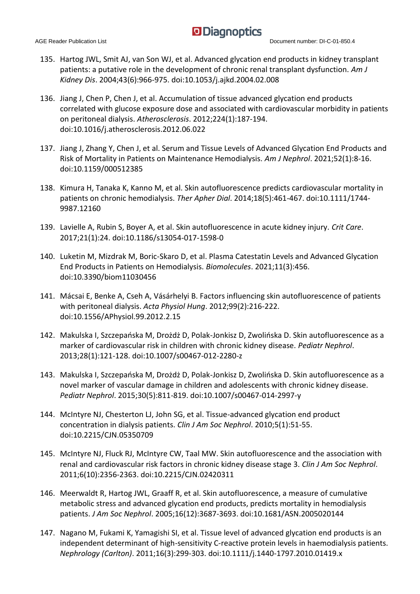- 135. Hartog JWL, Smit AJ, van Son WJ, et al. Advanced glycation end products in kidney transplant patients: a putative role in the development of chronic renal transplant dysfunction. *Am J Kidney Dis*. 2004;43(6):966-975. doi:10.1053/j.ajkd.2004.02.008
- 136. Jiang J, Chen P, Chen J, et al. Accumulation of tissue advanced glycation end products correlated with glucose exposure dose and associated with cardiovascular morbidity in patients on peritoneal dialysis. *Atherosclerosis*. 2012;224(1):187-194. doi:10.1016/j.atherosclerosis.2012.06.022
- 137. Jiang J, Zhang Y, Chen J, et al. Serum and Tissue Levels of Advanced Glycation End Products and Risk of Mortality in Patients on Maintenance Hemodialysis. *Am J Nephrol*. 2021;52(1):8-16. doi:10.1159/000512385
- 138. Kimura H, Tanaka K, Kanno M, et al. Skin autofluorescence predicts cardiovascular mortality in patients on chronic hemodialysis. *Ther Apher Dial*. 2014;18(5):461-467. doi:10.1111/1744- 9987.12160
- 139. Lavielle A, Rubin S, Boyer A, et al. Skin autofluorescence in acute kidney injury. *Crit Care*. 2017;21(1):24. doi:10.1186/s13054-017-1598-0
- 140. Luketin M, Mizdrak M, Boric-Skaro D, et al. Plasma Catestatin Levels and Advanced Glycation End Products in Patients on Hemodialysis. *Biomolecules*. 2021;11(3):456. doi:10.3390/biom11030456
- 141. Mácsai E, Benke A, Cseh A, Vásárhelyi B. Factors influencing skin autofluorescence of patients with peritoneal dialysis. *Acta Physiol Hung*. 2012;99(2):216-222. doi:10.1556/APhysiol.99.2012.2.15
- 142. Makulska I, Szczepańska M, Drożdż D, Polak-Jonkisz D, Zwolińska D. Skin autofluorescence as a marker of cardiovascular risk in children with chronic kidney disease. *Pediatr Nephrol*. 2013;28(1):121-128. doi:10.1007/s00467-012-2280-z
- 143. Makulska I, Szczepańska M, Drożdż D, Polak-Jonkisz D, Zwolińska D. Skin autofluorescence as a novel marker of vascular damage in children and adolescents with chronic kidney disease. *Pediatr Nephrol*. 2015;30(5):811-819. doi:10.1007/s00467-014-2997-y
- 144. McIntyre NJ, Chesterton LJ, John SG, et al. Tissue-advanced glycation end product concentration in dialysis patients. *Clin J Am Soc Nephrol*. 2010;5(1):51-55. doi:10.2215/CJN.05350709
- 145. McIntyre NJ, Fluck RJ, McIntyre CW, Taal MW. Skin autofluorescence and the association with renal and cardiovascular risk factors in chronic kidney disease stage 3. *Clin J Am Soc Nephrol*. 2011;6(10):2356-2363. doi:10.2215/CJN.02420311
- 146. Meerwaldt R, Hartog JWL, Graaff R, et al. Skin autofluorescence, a measure of cumulative metabolic stress and advanced glycation end products, predicts mortality in hemodialysis patients. *J Am Soc Nephrol*. 2005;16(12):3687-3693. doi:10.1681/ASN.2005020144
- 147. Nagano M, Fukami K, Yamagishi SI, et al. Tissue level of advanced glycation end products is an independent determinant of high-sensitivity C-reactive protein levels in haemodialysis patients. *Nephrology (Carlton)*. 2011;16(3):299-303. doi:10.1111/j.1440-1797.2010.01419.x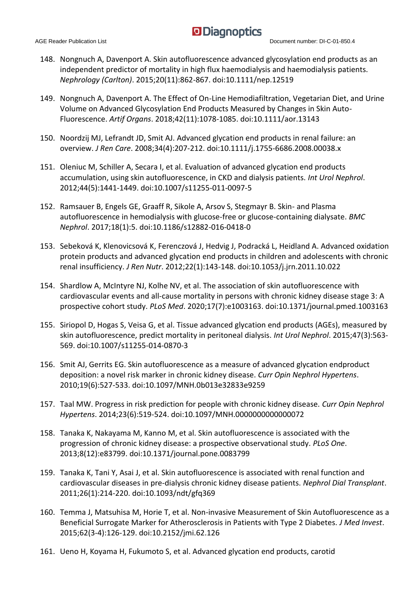- 148. Nongnuch A, Davenport A. Skin autofluorescence advanced glycosylation end products as an independent predictor of mortality in high flux haemodialysis and haemodialysis patients. *Nephrology (Carlton)*. 2015;20(11):862-867. doi:10.1111/nep.12519
- 149. Nongnuch A, Davenport A. The Effect of On-Line Hemodiafiltration, Vegetarian Diet, and Urine Volume on Advanced Glycosylation End Products Measured by Changes in Skin Auto-Fluorescence. *Artif Organs*. 2018;42(11):1078-1085. doi:10.1111/aor.13143
- 150. Noordzij MJ, Lefrandt JD, Smit AJ. Advanced glycation end products in renal failure: an overview. *J Ren Care*. 2008;34(4):207-212. doi:10.1111/j.1755-6686.2008.00038.x
- 151. Oleniuc M, Schiller A, Secara I, et al. Evaluation of advanced glycation end products accumulation, using skin autofluorescence, in CKD and dialysis patients. *Int Urol Nephrol*. 2012;44(5):1441-1449. doi:10.1007/s11255-011-0097-5
- 152. Ramsauer B, Engels GE, Graaff R, Sikole A, Arsov S, Stegmayr B. Skin- and Plasma autofluorescence in hemodialysis with glucose-free or glucose-containing dialysate. *BMC Nephrol*. 2017;18(1):5. doi:10.1186/s12882-016-0418-0
- 153. Sebeková K, Klenovicsová K, Ferenczová J, Hedvig J, Podracká L, Heidland A. Advanced oxidation protein products and advanced glycation end products in children and adolescents with chronic renal insufficiency. *J Ren Nutr*. 2012;22(1):143-148. doi:10.1053/j.jrn.2011.10.022
- 154. Shardlow A, McIntyre NJ, Kolhe NV, et al. The association of skin autofluorescence with cardiovascular events and all-cause mortality in persons with chronic kidney disease stage 3: A prospective cohort study. *PLoS Med*. 2020;17(7):e1003163. doi:10.1371/journal.pmed.1003163
- 155. Siriopol D, Hogas S, Veisa G, et al. Tissue advanced glycation end products (AGEs), measured by skin autofluorescence, predict mortality in peritoneal dialysis. *Int Urol Nephrol*. 2015;47(3):563- 569. doi:10.1007/s11255-014-0870-3
- 156. Smit AJ, Gerrits EG. Skin autofluorescence as a measure of advanced glycation endproduct deposition: a novel risk marker in chronic kidney disease. *Curr Opin Nephrol Hypertens*. 2010;19(6):527-533. doi:10.1097/MNH.0b013e32833e9259
- 157. Taal MW. Progress in risk prediction for people with chronic kidney disease. *Curr Opin Nephrol Hypertens*. 2014;23(6):519-524. doi:10.1097/MNH.0000000000000072
- 158. Tanaka K, Nakayama M, Kanno M, et al. Skin autofluorescence is associated with the progression of chronic kidney disease: a prospective observational study. *PLoS One*. 2013;8(12):e83799. doi:10.1371/journal.pone.0083799
- 159. Tanaka K, Tani Y, Asai J, et al. Skin autofluorescence is associated with renal function and cardiovascular diseases in pre-dialysis chronic kidney disease patients. *Nephrol Dial Transplant*. 2011;26(1):214-220. doi:10.1093/ndt/gfq369
- 160. Temma J, Matsuhisa M, Horie T, et al. Non-invasive Measurement of Skin Autofluorescence as a Beneficial Surrogate Marker for Atherosclerosis in Patients with Type 2 Diabetes. *J Med Invest*. 2015;62(3-4):126-129. doi:10.2152/jmi.62.126
- 161. Ueno H, Koyama H, Fukumoto S, et al. Advanced glycation end products, carotid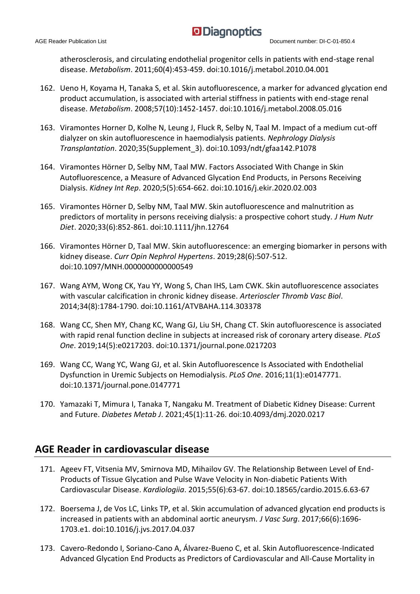atherosclerosis, and circulating endothelial progenitor cells in patients with end-stage renal disease. *Metabolism*. 2011;60(4):453-459. doi:10.1016/j.metabol.2010.04.001

- 162. Ueno H, Koyama H, Tanaka S, et al. Skin autofluorescence, a marker for advanced glycation end product accumulation, is associated with arterial stiffness in patients with end-stage renal disease. *Metabolism*. 2008;57(10):1452-1457. doi:10.1016/j.metabol.2008.05.016
- 163. Viramontes Horner D, Kolhe N, Leung J, Fluck R, Selby N, Taal M. Impact of a medium cut-off dialyzer on skin autofluorescence in haemodialysis patients. *Nephrology Dialysis Transplantation*. 2020;35(Supplement\_3). doi:10.1093/ndt/gfaa142.P1078
- 164. Viramontes Hörner D, Selby NM, Taal MW. Factors Associated With Change in Skin Autofluorescence, a Measure of Advanced Glycation End Products, in Persons Receiving Dialysis. *Kidney Int Rep*. 2020;5(5):654-662. doi:10.1016/j.ekir.2020.02.003
- 165. Viramontes Hörner D, Selby NM, Taal MW. Skin autofluorescence and malnutrition as predictors of mortality in persons receiving dialysis: a prospective cohort study. *J Hum Nutr Diet*. 2020;33(6):852-861. doi:10.1111/jhn.12764
- 166. Viramontes Hörner D, Taal MW. Skin autofluorescence: an emerging biomarker in persons with kidney disease. *Curr Opin Nephrol Hypertens*. 2019;28(6):507-512. doi:10.1097/MNH.0000000000000549
- 167. Wang AYM, Wong CK, Yau YY, Wong S, Chan IHS, Lam CWK. Skin autofluorescence associates with vascular calcification in chronic kidney disease. *Arterioscler Thromb Vasc Biol*. 2014;34(8):1784-1790. doi:10.1161/ATVBAHA.114.303378
- 168. Wang CC, Shen MY, Chang KC, Wang GJ, Liu SH, Chang CT. Skin autofluorescence is associated with rapid renal function decline in subjects at increased risk of coronary artery disease. *PLoS One*. 2019;14(5):e0217203. doi:10.1371/journal.pone.0217203
- 169. Wang CC, Wang YC, Wang GJ, et al. Skin Autofluorescence Is Associated with Endothelial Dysfunction in Uremic Subjects on Hemodialysis. *PLoS One*. 2016;11(1):e0147771. doi:10.1371/journal.pone.0147771
- 170. Yamazaki T, Mimura I, Tanaka T, Nangaku M. Treatment of Diabetic Kidney Disease: Current and Future. *Diabetes Metab J*. 2021;45(1):11-26. doi:10.4093/dmj.2020.0217

#### **AGE Reader in cardiovascular disease**

- 171. Ageev FT, Vitsenia MV, Smirnova MD, Mihailov GV. The Relationship Between Level of End-Products of Tissue Glycation and Pulse Wave Velocity in Non-diabetic Patients With Cardiovascular Disease. *Kardiologiia*. 2015;55(6):63-67. doi:10.18565/cardio.2015.6.63-67
- 172. Boersema J, de Vos LC, Links TP, et al. Skin accumulation of advanced glycation end products is increased in patients with an abdominal aortic aneurysm. *J Vasc Surg*. 2017;66(6):1696- 1703.e1. doi:10.1016/j.jvs.2017.04.037
- 173. Cavero-Redondo I, Soriano-Cano A, Álvarez-Bueno C, et al. Skin Autofluorescence-Indicated Advanced Glycation End Products as Predictors of Cardiovascular and All-Cause Mortality in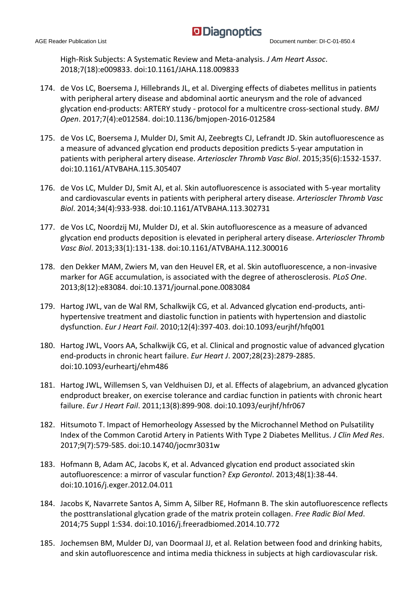High-Risk Subjects: A Systematic Review and Meta-analysis. *J Am Heart Assoc*. 2018;7(18):e009833. doi:10.1161/JAHA.118.009833

- 174. de Vos LC, Boersema J, Hillebrands JL, et al. Diverging effects of diabetes mellitus in patients with peripheral artery disease and abdominal aortic aneurysm and the role of advanced glycation end-products: ARTERY study - protocol for a multicentre cross-sectional study. *BMJ Open*. 2017;7(4):e012584. doi:10.1136/bmjopen-2016-012584
- 175. de Vos LC, Boersema J, Mulder DJ, Smit AJ, Zeebregts CJ, Lefrandt JD. Skin autofluorescence as a measure of advanced glycation end products deposition predicts 5-year amputation in patients with peripheral artery disease. *Arterioscler Thromb Vasc Biol*. 2015;35(6):1532-1537. doi:10.1161/ATVBAHA.115.305407
- 176. de Vos LC, Mulder DJ, Smit AJ, et al. Skin autofluorescence is associated with 5-year mortality and cardiovascular events in patients with peripheral artery disease. *Arterioscler Thromb Vasc Biol*. 2014;34(4):933-938. doi:10.1161/ATVBAHA.113.302731
- 177. de Vos LC, Noordzij MJ, Mulder DJ, et al. Skin autofluorescence as a measure of advanced glycation end products deposition is elevated in peripheral artery disease. *Arterioscler Thromb Vasc Biol*. 2013;33(1):131-138. doi:10.1161/ATVBAHA.112.300016
- 178. den Dekker MAM, Zwiers M, van den Heuvel ER, et al. Skin autofluorescence, a non-invasive marker for AGE accumulation, is associated with the degree of atherosclerosis. *PLoS One*. 2013;8(12):e83084. doi:10.1371/journal.pone.0083084
- 179. Hartog JWL, van de Wal RM, Schalkwijk CG, et al. Advanced glycation end-products, antihypertensive treatment and diastolic function in patients with hypertension and diastolic dysfunction. *Eur J Heart Fail*. 2010;12(4):397-403. doi:10.1093/eurjhf/hfq001
- 180. Hartog JWL, Voors AA, Schalkwijk CG, et al. Clinical and prognostic value of advanced glycation end-products in chronic heart failure. *Eur Heart J*. 2007;28(23):2879-2885. doi:10.1093/eurheartj/ehm486
- 181. Hartog JWL, Willemsen S, van Veldhuisen DJ, et al. Effects of alagebrium, an advanced glycation endproduct breaker, on exercise tolerance and cardiac function in patients with chronic heart failure. *Eur J Heart Fail*. 2011;13(8):899-908. doi:10.1093/eurjhf/hfr067
- 182. Hitsumoto T. Impact of Hemorheology Assessed by the Microchannel Method on Pulsatility Index of the Common Carotid Artery in Patients With Type 2 Diabetes Mellitus. *J Clin Med Res*. 2017;9(7):579-585. doi:10.14740/jocmr3031w
- 183. Hofmann B, Adam AC, Jacobs K, et al. Advanced glycation end product associated skin autofluorescence: a mirror of vascular function? *Exp Gerontol*. 2013;48(1):38-44. doi:10.1016/j.exger.2012.04.011
- 184. Jacobs K, Navarrete Santos A, Simm A, Silber RE, Hofmann B. The skin autofluorescence reflects the posttranslational glycation grade of the matrix protein collagen. *Free Radic Biol Med*. 2014;75 Suppl 1:S34. doi:10.1016/j.freeradbiomed.2014.10.772
- 185. Jochemsen BM, Mulder DJ, van Doormaal JJ, et al. Relation between food and drinking habits, and skin autofluorescence and intima media thickness in subjects at high cardiovascular risk.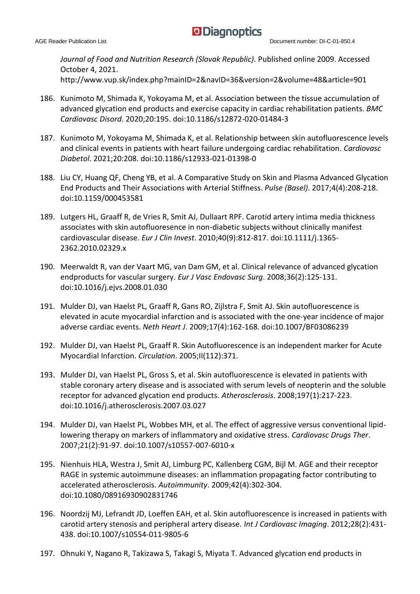*Journal of Food and Nutrition Research (Slovak Republic)*. Published online 2009. Accessed October 4, 2021. http://www.vup.sk/index.php?mainID=2&navID=36&version=2&volume=48&article=901

- 186. Kunimoto M, Shimada K, Yokoyama M, et al. Association between the tissue accumulation of advanced glycation end products and exercise capacity in cardiac rehabilitation patients. *BMC Cardiovasc Disord*. 2020;20:195. doi:10.1186/s12872-020-01484-3
- 187. Kunimoto M, Yokoyama M, Shimada K, et al. Relationship between skin autofluorescence levels and clinical events in patients with heart failure undergoing cardiac rehabilitation. *Cardiovasc Diabetol*. 2021;20:208. doi:10.1186/s12933-021-01398-0
- 188. Liu CY, Huang QF, Cheng YB, et al. A Comparative Study on Skin and Plasma Advanced Glycation End Products and Their Associations with Arterial Stiffness. *Pulse (Basel)*. 2017;4(4):208-218. doi:10.1159/000453581
- 189. Lutgers HL, Graaff R, de Vries R, Smit AJ, Dullaart RPF. Carotid artery intima media thickness associates with skin autofluoresence in non-diabetic subjects without clinically manifest cardiovascular disease. *Eur J Clin Invest*. 2010;40(9):812-817. doi:10.1111/j.1365- 2362.2010.02329.x
- 190. Meerwaldt R, van der Vaart MG, van Dam GM, et al. Clinical relevance of advanced glycation endproducts for vascular surgery. *Eur J Vasc Endovasc Surg*. 2008;36(2):125-131. doi:10.1016/j.ejvs.2008.01.030
- 191. Mulder DJ, van Haelst PL, Graaff R, Gans RO, Zijlstra F, Smit AJ. Skin autofluorescence is elevated in acute myocardial infarction and is associated with the one-year incidence of major adverse cardiac events. *Neth Heart J*. 2009;17(4):162-168. doi:10.1007/BF03086239
- 192. Mulder DJ, van Haelst PL, Graaff R. Skin Autofluorescence is an independent marker for Acute Myocardial Infarction. *Circulation*. 2005;II(112):371.
- 193. Mulder DJ, van Haelst PL, Gross S, et al. Skin autofluorescence is elevated in patients with stable coronary artery disease and is associated with serum levels of neopterin and the soluble receptor for advanced glycation end products. *Atherosclerosis*. 2008;197(1):217-223. doi:10.1016/j.atherosclerosis.2007.03.027
- 194. Mulder DJ, van Haelst PL, Wobbes MH, et al. The effect of aggressive versus conventional lipidlowering therapy on markers of inflammatory and oxidative stress. *Cardiovasc Drugs Ther*. 2007;21(2):91-97. doi:10.1007/s10557-007-6010-x
- 195. Nienhuis HLA, Westra J, Smit AJ, Limburg PC, Kallenberg CGM, Bijl M. AGE and their receptor RAGE in systemic autoimmune diseases: an inflammation propagating factor contributing to accelerated atherosclerosis. *Autoimmunity*. 2009;42(4):302-304. doi:10.1080/08916930902831746
- 196. Noordzij MJ, Lefrandt JD, Loeffen EAH, et al. Skin autofluorescence is increased in patients with carotid artery stenosis and peripheral artery disease. *Int J Cardiovasc Imaging*. 2012;28(2):431- 438. doi:10.1007/s10554-011-9805-6
- 197. Ohnuki Y, Nagano R, Takizawa S, Takagi S, Miyata T. Advanced glycation end products in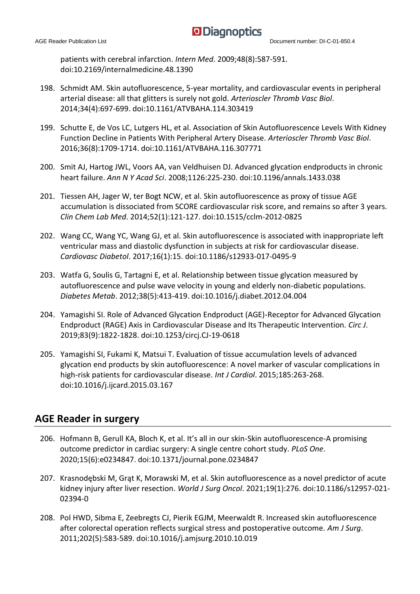patients with cerebral infarction. *Intern Med*. 2009;48(8):587-591. doi:10.2169/internalmedicine.48.1390

- 198. Schmidt AM. Skin autofluorescence, 5-year mortality, and cardiovascular events in peripheral arterial disease: all that glitters is surely not gold. *Arterioscler Thromb Vasc Biol*. 2014;34(4):697-699. doi:10.1161/ATVBAHA.114.303419
- 199. Schutte E, de Vos LC, Lutgers HL, et al. Association of Skin Autofluorescence Levels With Kidney Function Decline in Patients With Peripheral Artery Disease. *Arterioscler Thromb Vasc Biol*. 2016;36(8):1709-1714. doi:10.1161/ATVBAHA.116.307771
- 200. Smit AJ, Hartog JWL, Voors AA, van Veldhuisen DJ. Advanced glycation endproducts in chronic heart failure. *Ann N Y Acad Sci*. 2008;1126:225-230. doi:10.1196/annals.1433.038
- 201. Tiessen AH, Jager W, ter Bogt NCW, et al. Skin autofluorescence as proxy of tissue AGE accumulation is dissociated from SCORE cardiovascular risk score, and remains so after 3 years. *Clin Chem Lab Med*. 2014;52(1):121-127. doi:10.1515/cclm-2012-0825
- 202. Wang CC, Wang YC, Wang GJ, et al. Skin autofluorescence is associated with inappropriate left ventricular mass and diastolic dysfunction in subjects at risk for cardiovascular disease. *Cardiovasc Diabetol*. 2017;16(1):15. doi:10.1186/s12933-017-0495-9
- 203. Watfa G, Soulis G, Tartagni E, et al. Relationship between tissue glycation measured by autofluorescence and pulse wave velocity in young and elderly non-diabetic populations. *Diabetes Metab*. 2012;38(5):413-419. doi:10.1016/j.diabet.2012.04.004
- 204. Yamagishi SI. Role of Advanced Glycation Endproduct (AGE)-Receptor for Advanced Glycation Endproduct (RAGE) Axis in Cardiovascular Disease and Its Therapeutic Intervention. *Circ J*. 2019;83(9):1822-1828. doi:10.1253/circj.CJ-19-0618
- 205. Yamagishi SI, Fukami K, Matsui T. Evaluation of tissue accumulation levels of advanced glycation end products by skin autofluorescence: A novel marker of vascular complications in high-risk patients for cardiovascular disease. *Int J Cardiol*. 2015;185:263-268. doi:10.1016/j.ijcard.2015.03.167

#### **AGE Reader in surgery**

- 206. Hofmann B, Gerull KA, Bloch K, et al. It's all in our skin-Skin autofluorescence-A promising outcome predictor in cardiac surgery: A single centre cohort study. *PLoS One*. 2020;15(6):e0234847. doi:10.1371/journal.pone.0234847
- 207. Krasnodębski M, Grąt K, Morawski M, et al. Skin autofluorescence as a novel predictor of acute kidney injury after liver resection. *World J Surg Oncol*. 2021;19(1):276. doi:10.1186/s12957-021- 02394-0
- 208. Pol HWD, Sibma E, Zeebregts CJ, Pierik EGJM, Meerwaldt R. Increased skin autofluorescence after colorectal operation reflects surgical stress and postoperative outcome. *Am J Surg*. 2011;202(5):583-589. doi:10.1016/j.amjsurg.2010.10.019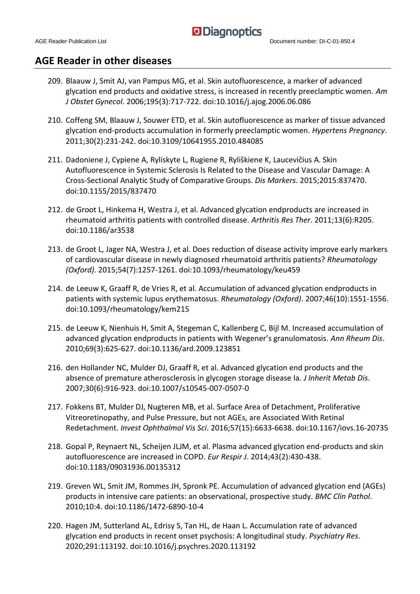#### **AGE Reader in other diseases**

- 209. Blaauw J, Smit AJ, van Pampus MG, et al. Skin autofluorescence, a marker of advanced glycation end products and oxidative stress, is increased in recently preeclamptic women. *Am J Obstet Gynecol*. 2006;195(3):717-722. doi:10.1016/j.ajog.2006.06.086
- 210. Coffeng SM, Blaauw J, Souwer ETD, et al. Skin autofluorescence as marker of tissue advanced glycation end-products accumulation in formerly preeclamptic women. *Hypertens Pregnancy*. 2011;30(2):231-242. doi:10.3109/10641955.2010.484085
- 211. Dadoniene J, Cypiene A, Ryliskyte L, Rugiene R, Ryliškiene K, Laucevičius A. Skin Autofluorescence in Systemic Sclerosis Is Related to the Disease and Vascular Damage: A Cross-Sectional Analytic Study of Comparative Groups. *Dis Markers*. 2015;2015:837470. doi:10.1155/2015/837470
- 212. de Groot L, Hinkema H, Westra J, et al. Advanced glycation endproducts are increased in rheumatoid arthritis patients with controlled disease. *Arthritis Res Ther*. 2011;13(6):R205. doi:10.1186/ar3538
- 213. de Groot L, Jager NA, Westra J, et al. Does reduction of disease activity improve early markers of cardiovascular disease in newly diagnosed rheumatoid arthritis patients? *Rheumatology (Oxford)*. 2015;54(7):1257-1261. doi:10.1093/rheumatology/keu459
- 214. de Leeuw K, Graaff R, de Vries R, et al. Accumulation of advanced glycation endproducts in patients with systemic lupus erythematosus. *Rheumatology (Oxford)*. 2007;46(10):1551-1556. doi:10.1093/rheumatology/kem215
- 215. de Leeuw K, Nienhuis H, Smit A, Stegeman C, Kallenberg C, Bijl M. Increased accumulation of advanced glycation endproducts in patients with Wegener's granulomatosis. *Ann Rheum Dis*. 2010;69(3):625-627. doi:10.1136/ard.2009.123851
- 216. den Hollander NC, Mulder DJ, Graaff R, et al. Advanced glycation end products and the absence of premature atherosclerosis in glycogen storage disease Ia. *J Inherit Metab Dis*. 2007;30(6):916-923. doi:10.1007/s10545-007-0507-0
- 217. Fokkens BT, Mulder DJ, Nugteren MB, et al. Surface Area of Detachment, Proliferative Vitreoretinopathy, and Pulse Pressure, but not AGEs, are Associated With Retinal Redetachment. *Invest Ophthalmol Vis Sci*. 2016;57(15):6633-6638. doi:10.1167/iovs.16-20735
- 218. Gopal P, Reynaert NL, Scheijen JLJM, et al. Plasma advanced glycation end-products and skin autofluorescence are increased in COPD. *Eur Respir J*. 2014;43(2):430-438. doi:10.1183/09031936.00135312
- 219. Greven WL, Smit JM, Rommes JH, Spronk PE. Accumulation of advanced glycation end (AGEs) products in intensive care patients: an observational, prospective study. *BMC Clin Pathol*. 2010;10:4. doi:10.1186/1472-6890-10-4
- 220. Hagen JM, Sutterland AL, Edrisy S, Tan HL, de Haan L. Accumulation rate of advanced glycation end products in recent onset psychosis: A longitudinal study. *Psychiatry Res*. 2020;291:113192. doi:10.1016/j.psychres.2020.113192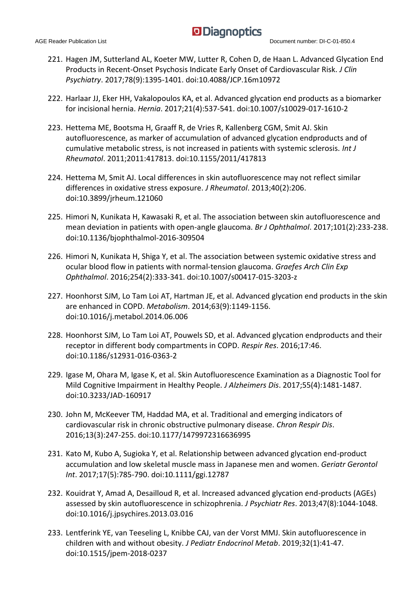- 221. Hagen JM, Sutterland AL, Koeter MW, Lutter R, Cohen D, de Haan L. Advanced Glycation End Products in Recent-Onset Psychosis Indicate Early Onset of Cardiovascular Risk. *J Clin Psychiatry*. 2017;78(9):1395-1401. doi:10.4088/JCP.16m10972
- 222. Harlaar JJ, Eker HH, Vakalopoulos KA, et al. Advanced glycation end products as a biomarker for incisional hernia. *Hernia*. 2017;21(4):537-541. doi:10.1007/s10029-017-1610-2
- 223. Hettema ME, Bootsma H, Graaff R, de Vries R, Kallenberg CGM, Smit AJ. Skin autofluorescence, as marker of accumulation of advanced glycation endproducts and of cumulative metabolic stress, is not increased in patients with systemic sclerosis. *Int J Rheumatol*. 2011;2011:417813. doi:10.1155/2011/417813
- 224. Hettema M, Smit AJ. Local differences in skin autofluorescence may not reflect similar differences in oxidative stress exposure. *J Rheumatol*. 2013;40(2):206. doi:10.3899/jrheum.121060
- 225. Himori N, Kunikata H, Kawasaki R, et al. The association between skin autofluorescence and mean deviation in patients with open-angle glaucoma. *Br J Ophthalmol*. 2017;101(2):233-238. doi:10.1136/bjophthalmol-2016-309504
- 226. Himori N, Kunikata H, Shiga Y, et al. The association between systemic oxidative stress and ocular blood flow in patients with normal-tension glaucoma. *Graefes Arch Clin Exp Ophthalmol*. 2016;254(2):333-341. doi:10.1007/s00417-015-3203-z
- 227. Hoonhorst SJM, Lo Tam Loi AT, Hartman JE, et al. Advanced glycation end products in the skin are enhanced in COPD. *Metabolism*. 2014;63(9):1149-1156. doi:10.1016/j.metabol.2014.06.006
- 228. Hoonhorst SJM, Lo Tam Loi AT, Pouwels SD, et al. Advanced glycation endproducts and their receptor in different body compartments in COPD. *Respir Res*. 2016;17:46. doi:10.1186/s12931-016-0363-2
- 229. Igase M, Ohara M, Igase K, et al. Skin Autofluorescence Examination as a Diagnostic Tool for Mild Cognitive Impairment in Healthy People. *J Alzheimers Dis*. 2017;55(4):1481-1487. doi:10.3233/JAD-160917
- 230. John M, McKeever TM, Haddad MA, et al. Traditional and emerging indicators of cardiovascular risk in chronic obstructive pulmonary disease. *Chron Respir Dis*. 2016;13(3):247-255. doi:10.1177/1479972316636995
- 231. Kato M, Kubo A, Sugioka Y, et al. Relationship between advanced glycation end-product accumulation and low skeletal muscle mass in Japanese men and women. *Geriatr Gerontol Int*. 2017;17(5):785-790. doi:10.1111/ggi.12787
- 232. Kouidrat Y, Amad A, Desailloud R, et al. Increased advanced glycation end-products (AGEs) assessed by skin autofluorescence in schizophrenia. *J Psychiatr Res*. 2013;47(8):1044-1048. doi:10.1016/j.jpsychires.2013.03.016
- 233. Lentferink YE, van Teeseling L, Knibbe CAJ, van der Vorst MMJ. Skin autofluorescence in children with and without obesity. *J Pediatr Endocrinol Metab*. 2019;32(1):41-47. doi:10.1515/jpem-2018-0237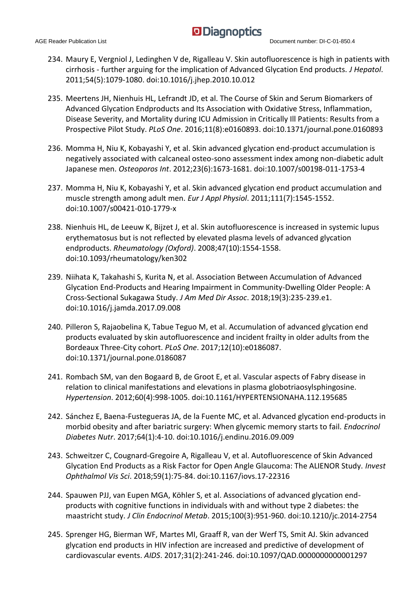- 234. Maury E, Vergniol J, Ledinghen V de, Rigalleau V. Skin autofluorescence is high in patients with cirrhosis - further arguing for the implication of Advanced Glycation End products. *J Hepatol*. 2011;54(5):1079-1080. doi:10.1016/j.jhep.2010.10.012
- 235. Meertens JH, Nienhuis HL, Lefrandt JD, et al. The Course of Skin and Serum Biomarkers of Advanced Glycation Endproducts and Its Association with Oxidative Stress, Inflammation, Disease Severity, and Mortality during ICU Admission in Critically Ill Patients: Results from a Prospective Pilot Study. *PLoS One*. 2016;11(8):e0160893. doi:10.1371/journal.pone.0160893
- 236. Momma H, Niu K, Kobayashi Y, et al. Skin advanced glycation end-product accumulation is negatively associated with calcaneal osteo-sono assessment index among non-diabetic adult Japanese men. *Osteoporos Int*. 2012;23(6):1673-1681. doi:10.1007/s00198-011-1753-4
- 237. Momma H, Niu K, Kobayashi Y, et al. Skin advanced glycation end product accumulation and muscle strength among adult men. *Eur J Appl Physiol*. 2011;111(7):1545-1552. doi:10.1007/s00421-010-1779-x
- 238. Nienhuis HL, de Leeuw K, Bijzet J, et al. Skin autofluorescence is increased in systemic lupus erythematosus but is not reflected by elevated plasma levels of advanced glycation endproducts. *Rheumatology (Oxford)*. 2008;47(10):1554-1558. doi:10.1093/rheumatology/ken302
- 239. Niihata K, Takahashi S, Kurita N, et al. Association Between Accumulation of Advanced Glycation End-Products and Hearing Impairment in Community-Dwelling Older People: A Cross-Sectional Sukagawa Study. *J Am Med Dir Assoc*. 2018;19(3):235-239.e1. doi:10.1016/j.jamda.2017.09.008
- 240. Pilleron S, Rajaobelina K, Tabue Teguo M, et al. Accumulation of advanced glycation end products evaluated by skin autofluorescence and incident frailty in older adults from the Bordeaux Three-City cohort. *PLoS One*. 2017;12(10):e0186087. doi:10.1371/journal.pone.0186087
- 241. Rombach SM, van den Bogaard B, de Groot E, et al. Vascular aspects of Fabry disease in relation to clinical manifestations and elevations in plasma globotriaosylsphingosine. *Hypertension*. 2012;60(4):998-1005. doi:10.1161/HYPERTENSIONAHA.112.195685
- 242. Sánchez E, Baena-Fustegueras JA, de la Fuente MC, et al. Advanced glycation end-products in morbid obesity and after bariatric surgery: When glycemic memory starts to fail. *Endocrinol Diabetes Nutr*. 2017;64(1):4-10. doi:10.1016/j.endinu.2016.09.009
- 243. Schweitzer C, Cougnard-Gregoire A, Rigalleau V, et al. Autofluorescence of Skin Advanced Glycation End Products as a Risk Factor for Open Angle Glaucoma: The ALIENOR Study. *Invest Ophthalmol Vis Sci*. 2018;59(1):75-84. doi:10.1167/iovs.17-22316
- 244. Spauwen PJJ, van Eupen MGA, Köhler S, et al. Associations of advanced glycation endproducts with cognitive functions in individuals with and without type 2 diabetes: the maastricht study. *J Clin Endocrinol Metab*. 2015;100(3):951-960. doi:10.1210/jc.2014-2754
- 245. Sprenger HG, Bierman WF, Martes MI, Graaff R, van der Werf TS, Smit AJ. Skin advanced glycation end products in HIV infection are increased and predictive of development of cardiovascular events. *AIDS*. 2017;31(2):241-246. doi:10.1097/QAD.0000000000001297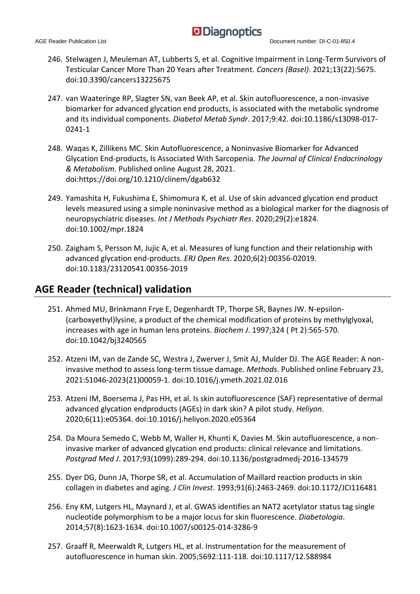- 246. Stelwagen J, Meuleman AT, Lubberts S, et al. Cognitive Impairment in Long-Term Survivors of Testicular Cancer More Than 20 Years after Treatment. *Cancers (Basel)*. 2021;13(22):5675. doi:10.3390/cancers13225675
- 247. van Waateringe RP, Slagter SN, van Beek AP, et al. Skin autofluorescence, a non-invasive biomarker for advanced glycation end products, is associated with the metabolic syndrome and its individual components. *Diabetol Metab Syndr*. 2017;9:42. doi:10.1186/s13098-017- 0241-1
- 248. Waqas K, Zillikens MC. Skin Autofluorescence, a Noninvasive Biomarker for Advanced Glycation End-products, Is Associated With Sarcopenia. *The Journal of Clinical Endocrinology & Metabolism*. Published online August 28, 2021. doi:https://doi.org/10.1210/clinem/dgab632
- 249. Yamashita H, Fukushima E, Shimomura K, et al. Use of skin advanced glycation end product levels measured using a simple noninvasive method as a biological marker for the diagnosis of neuropsychiatric diseases. *Int J Methods Psychiatr Res*. 2020;29(2):e1824. doi:10.1002/mpr.1824
- 250. Zaigham S, Persson M, Jujic A, et al. Measures of lung function and their relationship with advanced glycation end-products. *ERJ Open Res*. 2020;6(2):00356-02019. doi:10.1183/23120541.00356-2019

#### **AGE Reader (technical) validation**

- 251. Ahmed MU, Brinkmann Frye E, Degenhardt TP, Thorpe SR, Baynes JW. N-epsilon- (carboxyethyl)lysine, a product of the chemical modification of proteins by methylglyoxal, increases with age in human lens proteins. *Biochem J*. 1997;324 ( Pt 2):565-570. doi:10.1042/bj3240565
- 252. Atzeni IM, van de Zande SC, Westra J, Zwerver J, Smit AJ, Mulder DJ. The AGE Reader: A noninvasive method to assess long-term tissue damage. *Methods*. Published online February 23, 2021:S1046-2023(21)00059-1. doi:10.1016/j.ymeth.2021.02.016
- 253. Atzeni IM, Boersema J, Pas HH, et al. Is skin autofluorescence (SAF) representative of dermal advanced glycation endproducts (AGEs) in dark skin? A pilot study. *Heliyon*. 2020;6(11):e05364. doi:10.1016/j.heliyon.2020.e05364
- 254. Da Moura Semedo C, Webb M, Waller H, Khunti K, Davies M. Skin autofluorescence, a noninvasive marker of advanced glycation end products: clinical relevance and limitations. *Postgrad Med J*. 2017;93(1099):289-294. doi:10.1136/postgradmedj-2016-134579
- 255. Dyer DG, Dunn JA, Thorpe SR, et al. Accumulation of Maillard reaction products in skin collagen in diabetes and aging. *J Clin Invest*. 1993;91(6):2463-2469. doi:10.1172/JCI116481
- 256. Eny KM, Lutgers HL, Maynard J, et al. GWAS identifies an NAT2 acetylator status tag single nucleotide polymorphism to be a major locus for skin fluorescence. *Diabetologia*. 2014;57(8):1623-1634. doi:10.1007/s00125-014-3286-9
- 257. Graaff R, Meerwaldt R, Lutgers HL, et al. Instrumentation for the measurement of autofluorescence in human skin. 2005;5692:111-118. doi:10.1117/12.588984